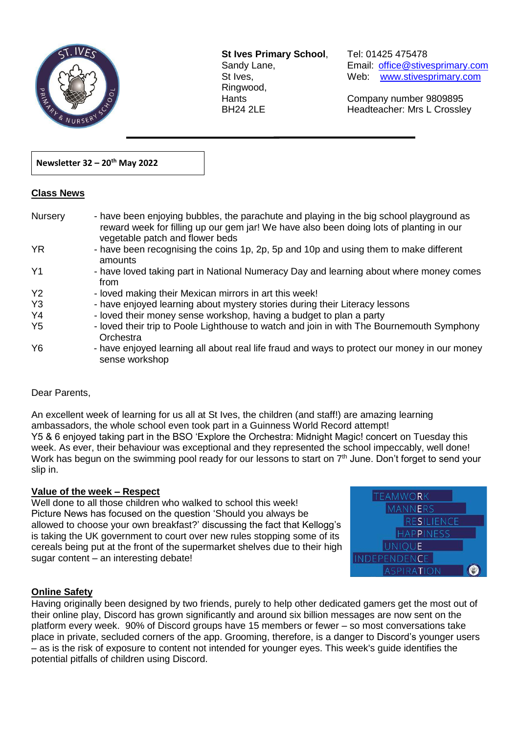

**St Ives Primary School**, Tel: 01425 475478 Ringwood,

 $\overline{a}$ 

Sandy Lane, Email: office@stivesprimary.com St Ives, [www.stivesprimary.com](http://www.stives.dorset.sch.uk/)

Hants Company number 9809895 BH24 2LE Headteacher: Mrs L Crossley

## **Newsletter 32 – 20th May 2022**

### **Class News**

| Nursery        | - have been enjoying bubbles, the parachute and playing in the big school playground as<br>reward week for filling up our gem jar! We have also been doing lots of planting in our<br>vegetable patch and flower beds |
|----------------|-----------------------------------------------------------------------------------------------------------------------------------------------------------------------------------------------------------------------|
| <b>YR</b>      | - have been recognising the coins 1p, 2p, 5p and 10p and using them to make different<br>amounts                                                                                                                      |
| Y <sub>1</sub> | - have loved taking part in National Numeracy Day and learning about where money comes<br>from                                                                                                                        |
| Y <sub>2</sub> | - loved making their Mexican mirrors in art this week!                                                                                                                                                                |
| Y <sub>3</sub> | - have enjoyed learning about mystery stories during their Literacy lessons                                                                                                                                           |
| Y4             | - loved their money sense workshop, having a budget to plan a party                                                                                                                                                   |
| Y <sub>5</sub> | - loved their trip to Poole Lighthouse to watch and join in with The Bournemouth Symphony<br>Orchestra                                                                                                                |
| Y <sub>6</sub> | - have enjoyed learning all about real life fraud and ways to protect our money in our money<br>sense workshop                                                                                                        |

# Dear Parents,

An excellent week of learning for us all at St Ives, the children (and staff!) are amazing learning ambassadors, the whole school even took part in a Guinness World Record attempt! Y5 & 6 enjoyed taking part in the BSO 'Explore the Orchestra: Midnight Magic! concert on Tuesday this week. As ever, their behaviour was exceptional and they represented the school impeccably, well done! Work has begun on the swimming pool ready for our lessons to start on 7<sup>th</sup> June. Don't forget to send your slip in.

### **Value of the week – Respect**

Well done to all those children who walked to school this week! Picture News has focused on the question 'Should you always be allowed to choose your own breakfast?' discussing the fact that Kellogg's is taking the UK government to court over new rules stopping some of its cereals being put at the front of the supermarket shelves due to their high sugar content – an interesting debate!



# **Online Safety**

Having originally been designed by two friends, purely to help other dedicated gamers get the most out of their online play, Discord has grown significantly and around six billion messages are now sent on the platform every week. 90% of Discord groups have 15 members or fewer – so most conversations take place in private, secluded corners of the app. Grooming, therefore, is a danger to Discord's younger users – as is the risk of exposure to content not intended for younger eyes. This week's guide identifies the potential pitfalls of children using Discord.